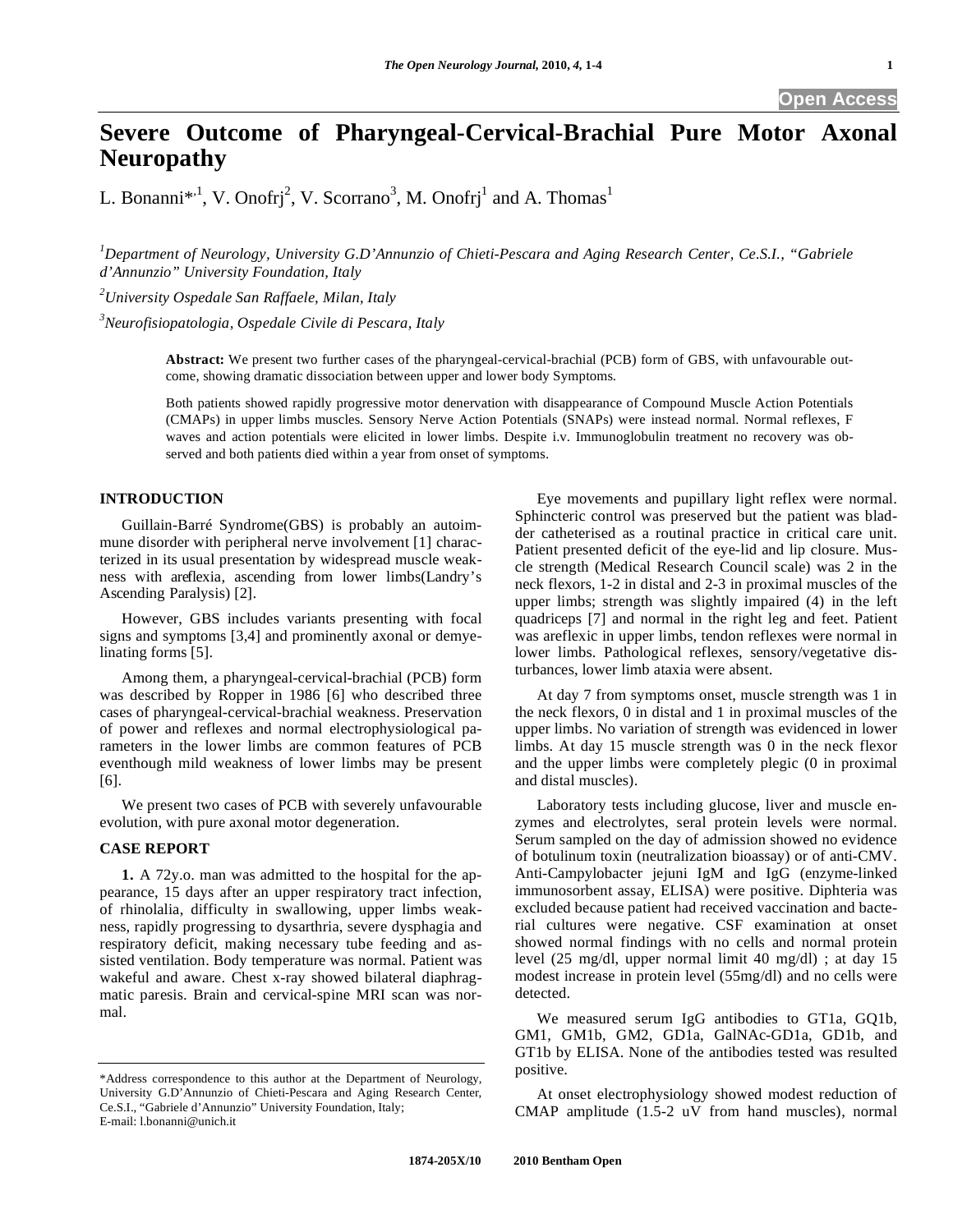**Open Access** 

# **Severe Outcome of Pharyngeal-Cervical-Brachial Pure Motor Axonal Neuropathy**

L. Bonanni<sup>\*,1</sup>, V. Onofrj<sup>2</sup>, V. Scorrano<sup>3</sup>, M. Onofrj<sup>1</sup> and A. Thomas<sup>1</sup>

*1 Department of Neurology, University G.D'Annunzio of Chieti-Pescara and Aging Research Center, Ce.S.I., "Gabriele d'Annunzio" University Foundation, Italy* 

*2 University Ospedale San Raffaele, Milan, Italy* 

*3 Neurofisiopatologia, Ospedale Civile di Pescara, Italy* 

**Abstract:** We present two further cases of the pharyngeal-cervical-brachial (PCB) form of GBS, with unfavourable outcome, showing dramatic dissociation between upper and lower body Symptoms.

Both patients showed rapidly progressive motor denervation with disappearance of Compound Muscle Action Potentials (CMAPs) in upper limbs muscles. Sensory Nerve Action Potentials (SNAPs) were instead normal. Normal reflexes, F waves and action potentials were elicited in lower limbs. Despite i.v. Immunoglobulin treatment no recovery was observed and both patients died within a year from onset of symptoms.

## **INTRODUCTION**

 Guillain-Barré Syndrome(GBS) is probably an autoimmune disorder with peripheral nerve involvement [1] characterized in its usual presentation by widespread muscle weakness with areflexia, ascending from lower limbs(Landry's Ascending Paralysis) [2].

 However, GBS includes variants presenting with focal signs and symptoms [3,4] and prominently axonal or demyelinating forms [5].

 Among them, a pharyngeal-cervical-brachial (PCB) form was described by Ropper in 1986 [6] who described three cases of pharyngeal-cervical-brachial weakness. Preservation of power and reflexes and normal electrophysiological parameters in the lower limbs are common features of PCB eventhough mild weakness of lower limbs may be present [6].

 We present two cases of PCB with severely unfavourable evolution, with pure axonal motor degeneration.

## **CASE REPORT**

 **1.** A 72y.o. man was admitted to the hospital for the appearance, 15 days after an upper respiratory tract infection, of rhinolalia, difficulty in swallowing, upper limbs weakness, rapidly progressing to dysarthria, severe dysphagia and respiratory deficit, making necessary tube feeding and assisted ventilation. Body temperature was normal. Patient was wakeful and aware. Chest x-ray showed bilateral diaphragmatic paresis. Brain and cervical-spine MRI scan was normal.

 Eye movements and pupillary light reflex were normal. Sphincteric control was preserved but the patient was bladder catheterised as a routinal practice in critical care unit. Patient presented deficit of the eye-lid and lip closure. Muscle strength (Medical Research Council scale) was 2 in the neck flexors, 1-2 in distal and 2-3 in proximal muscles of the upper limbs; strength was slightly impaired (4) in the left quadriceps [7] and normal in the right leg and feet. Patient was areflexic in upper limbs, tendon reflexes were normal in lower limbs. Pathological reflexes, sensory/vegetative disturbances, lower limb ataxia were absent.

 At day 7 from symptoms onset, muscle strength was 1 in the neck flexors, 0 in distal and 1 in proximal muscles of the upper limbs. No variation of strength was evidenced in lower limbs. At day 15 muscle strength was 0 in the neck flexor and the upper limbs were completely plegic (0 in proximal and distal muscles).

 Laboratory tests including glucose, liver and muscle enzymes and electrolytes, seral protein levels were normal. Serum sampled on the day of admission showed no evidence of botulinum toxin (neutralization bioassay) or of anti-CMV. Anti-Campylobacter jejuni IgM and IgG (enzyme-linked immunosorbent assay, ELISA) were positive. Diphteria was excluded because patient had received vaccination and bacterial cultures were negative. CSF examination at onset showed normal findings with no cells and normal protein level (25 mg/dl, upper normal limit 40 mg/dl) ; at day 15 modest increase in protein level (55mg/dl) and no cells were detected.

 We measured serum IgG antibodies to GT1a, GQ1b, GM1, GM1b, GM2, GD1a, GalNAc-GD1a, GD1b, and GT1b by ELISA. None of the antibodies tested was resulted positive.

 At onset electrophysiology showed modest reduction of CMAP amplitude (1.5-2 uV from hand muscles), normal

<sup>\*</sup>Address correspondence to this author at the Department of Neurology, University G.D'Annunzio of Chieti-Pescara and Aging Research Center, Ce.S.I., "Gabriele d'Annunzio" University Foundation, Italy; E-mail: l.bonanni@unich.it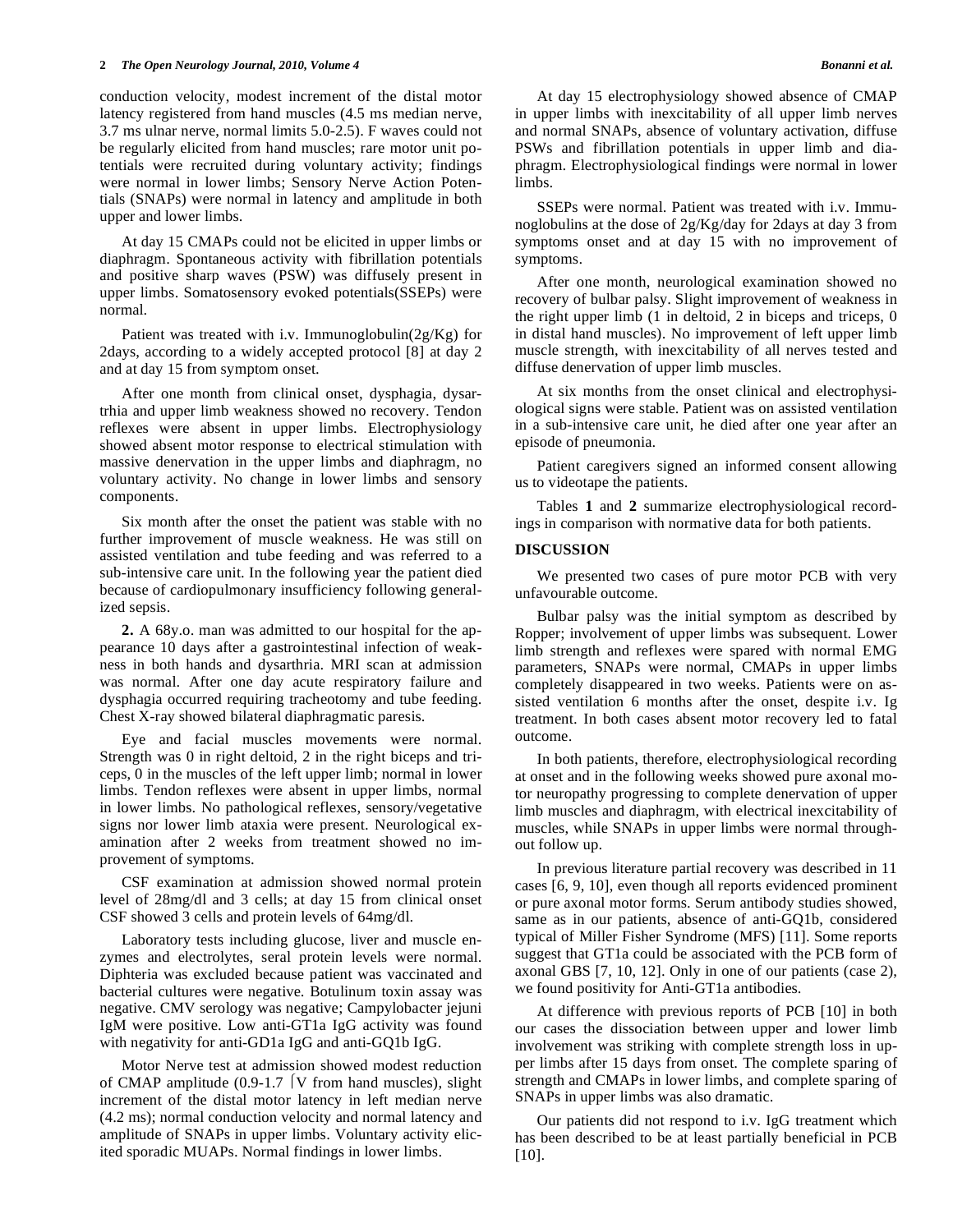conduction velocity, modest increment of the distal motor latency registered from hand muscles (4.5 ms median nerve, 3.7 ms ulnar nerve, normal limits 5.0-2.5). F waves could not be regularly elicited from hand muscles; rare motor unit potentials were recruited during voluntary activity; findings were normal in lower limbs; Sensory Nerve Action Potentials (SNAPs) were normal in latency and amplitude in both upper and lower limbs.

 At day 15 CMAPs could not be elicited in upper limbs or diaphragm. Spontaneous activity with fibrillation potentials and positive sharp waves (PSW) was diffusely present in upper limbs. Somatosensory evoked potentials(SSEPs) were normal.

Patient was treated with i.v. Immunoglobulin( $2g/Kg$ ) for 2days, according to a widely accepted protocol [8] at day 2 and at day 15 from symptom onset.

 After one month from clinical onset, dysphagia, dysartrhia and upper limb weakness showed no recovery. Tendon reflexes were absent in upper limbs. Electrophysiology showed absent motor response to electrical stimulation with massive denervation in the upper limbs and diaphragm, no voluntary activity. No change in lower limbs and sensory components.

 Six month after the onset the patient was stable with no further improvement of muscle weakness. He was still on assisted ventilation and tube feeding and was referred to a sub-intensive care unit. In the following year the patient died because of cardiopulmonary insufficiency following generalized sepsis.

 **2.** A 68y.o. man was admitted to our hospital for the appearance 10 days after a gastrointestinal infection of weakness in both hands and dysarthria. MRI scan at admission was normal. After one day acute respiratory failure and dysphagia occurred requiring tracheotomy and tube feeding. Chest X-ray showed bilateral diaphragmatic paresis.

 Eye and facial muscles movements were normal. Strength was 0 in right deltoid, 2 in the right biceps and triceps, 0 in the muscles of the left upper limb; normal in lower limbs. Tendon reflexes were absent in upper limbs, normal in lower limbs. No pathological reflexes, sensory/vegetative signs nor lower limb ataxia were present. Neurological examination after 2 weeks from treatment showed no improvement of symptoms.

 CSF examination at admission showed normal protein level of 28mg/dl and 3 cells; at day 15 from clinical onset CSF showed 3 cells and protein levels of 64mg/dl.

 Laboratory tests including glucose, liver and muscle enzymes and electrolytes, seral protein levels were normal. Diphteria was excluded because patient was vaccinated and bacterial cultures were negative. Botulinum toxin assay was negative. CMV serology was negative; Campylobacter jejuni IgM were positive. Low anti-GT1a IgG activity was found with negativity for anti-GD1a IgG and anti-GQ1b IgG.

 Motor Nerve test at admission showed modest reduction of CMAP amplitude  $(0.9-1.7 \mid V \text{ from hand muscles})$ , slight increment of the distal motor latency in left median nerve (4.2 ms); normal conduction velocity and normal latency and amplitude of SNAPs in upper limbs. Voluntary activity elicited sporadic MUAPs. Normal findings in lower limbs.

 At day 15 electrophysiology showed absence of CMAP in upper limbs with inexcitability of all upper limb nerves and normal SNAPs, absence of voluntary activation, diffuse PSWs and fibrillation potentials in upper limb and diaphragm. Electrophysiological findings were normal in lower limbs.

 SSEPs were normal. Patient was treated with i.v. Immunoglobulins at the dose of 2g/Kg/day for 2days at day 3 from symptoms onset and at day 15 with no improvement of symptoms.

 After one month, neurological examination showed no recovery of bulbar palsy. Slight improvement of weakness in the right upper limb (1 in deltoid, 2 in biceps and triceps, 0 in distal hand muscles). No improvement of left upper limb muscle strength, with inexcitability of all nerves tested and diffuse denervation of upper limb muscles.

 At six months from the onset clinical and electrophysiological signs were stable. Patient was on assisted ventilation in a sub-intensive care unit, he died after one year after an episode of pneumonia.

 Patient caregivers signed an informed consent allowing us to videotape the patients.

 Tables **1** and **2** summarize electrophysiological recordings in comparison with normative data for both patients.

## **DISCUSSION**

 We presented two cases of pure motor PCB with very unfavourable outcome.

 Bulbar palsy was the initial symptom as described by Ropper; involvement of upper limbs was subsequent. Lower limb strength and reflexes were spared with normal EMG parameters, SNAPs were normal, CMAPs in upper limbs completely disappeared in two weeks. Patients were on assisted ventilation 6 months after the onset, despite i.v. Ig treatment. In both cases absent motor recovery led to fatal outcome.

 In both patients, therefore, electrophysiological recording at onset and in the following weeks showed pure axonal motor neuropathy progressing to complete denervation of upper limb muscles and diaphragm, with electrical inexcitability of muscles, while SNAPs in upper limbs were normal throughout follow up.

 In previous literature partial recovery was described in 11 cases [6, 9, 10], even though all reports evidenced prominent or pure axonal motor forms. Serum antibody studies showed, same as in our patients, absence of anti-GQ1b, considered typical of Miller Fisher Syndrome (MFS) [11]. Some reports suggest that GT1a could be associated with the PCB form of axonal GBS [7, 10, 12]. Only in one of our patients (case 2), we found positivity for Anti-GT1a antibodies.

 At difference with previous reports of PCB [10] in both our cases the dissociation between upper and lower limb involvement was striking with complete strength loss in upper limbs after 15 days from onset. The complete sparing of strength and CMAPs in lower limbs, and complete sparing of SNAPs in upper limbs was also dramatic.

 Our patients did not respond to i.v. IgG treatment which has been described to be at least partially beneficial in PCB [10].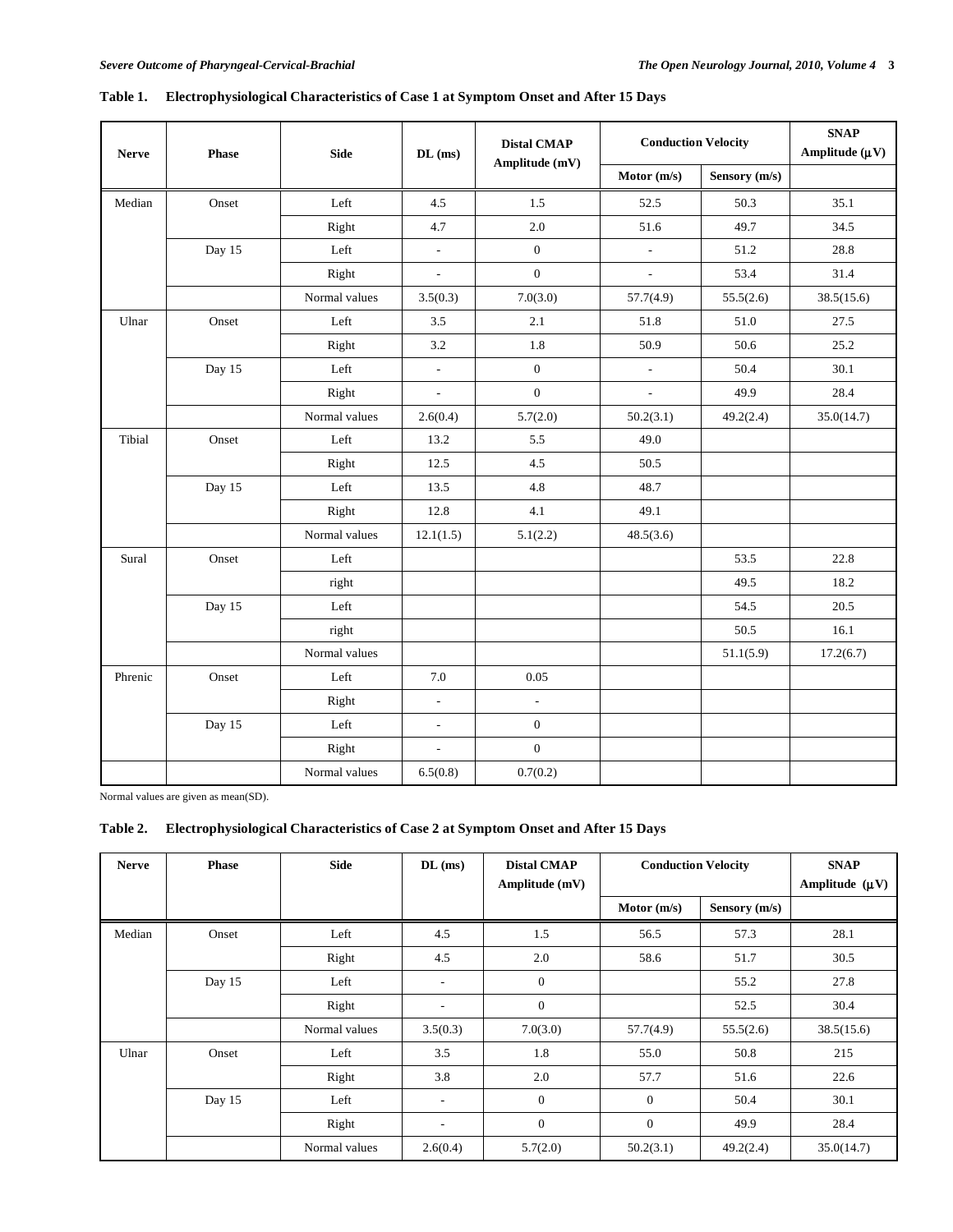| <b>Nerve</b> | Phase  | <b>Side</b>   | $DL$ (ms)                | <b>Distal CMAP</b><br>Amplitude (mV) | <b>Conduction Velocity</b> |               | <b>SNAP</b><br>Amplitude $(\mu V)$ |
|--------------|--------|---------------|--------------------------|--------------------------------------|----------------------------|---------------|------------------------------------|
|              |        |               |                          |                                      | Motor $(m/s)$              | Sensory (m/s) |                                    |
| Median       | Onset  | Left          | 4.5                      | 1.5                                  | 52.5                       | 50.3          | 35.1                               |
|              |        | Right         | 4.7                      | 2.0                                  | 51.6                       | 49.7          | 34.5                               |
|              | Day 15 | Left          | $\overline{\phantom{a}}$ | $\boldsymbol{0}$                     | $\overline{\phantom{a}}$   | 51.2          | 28.8                               |
|              |        | Right         | $\mathbb{L}$             | $\overline{0}$                       | $\bar{\phantom{a}}$        | 53.4          | 31.4                               |
|              |        | Normal values | 3.5(0.3)                 | 7.0(3.0)                             | 57.7(4.9)                  | 55.5(2.6)     | 38.5(15.6)                         |
| Ulnar        | Onset  | Left          | 3.5                      | 2.1                                  | 51.8                       | 51.0          | 27.5                               |
|              |        | Right         | 3.2                      | 1.8                                  | 50.9                       | 50.6          | 25.2                               |
|              | Day 15 | Left          | $\overline{\phantom{a}}$ | $\mathbf{0}$                         | $\blacksquare$             | 50.4          | 30.1                               |
|              |        | Right         | $\overline{a}$           | $\overline{0}$                       | $\sim$                     | 49.9          | 28.4                               |
|              |        | Normal values | 2.6(0.4)                 | 5.7(2.0)                             | 50.2(3.1)                  | 49.2(2.4)     | 35.0(14.7)                         |
| Tibial       | Onset  | Left          | 13.2                     | 5.5                                  | 49.0                       |               |                                    |
|              |        | Right         | 12.5                     | 4.5                                  | 50.5                       |               |                                    |
|              | Day 15 | Left          | 13.5                     | 4.8                                  | 48.7                       |               |                                    |
|              |        | Right         | 12.8                     | 4.1                                  | 49.1                       |               |                                    |
|              |        | Normal values | 12.1(1.5)                | 5.1(2.2)                             | 48.5(3.6)                  |               |                                    |
| Sural        | Onset  | Left          |                          |                                      |                            | 53.5          | 22.8                               |
|              |        | right         |                          |                                      |                            | 49.5          | 18.2                               |
|              | Day 15 | Left          |                          |                                      |                            | 54.5          | 20.5                               |
|              |        | right         |                          |                                      |                            | 50.5          | 16.1                               |
|              |        | Normal values |                          |                                      |                            | 51.1(5.9)     | 17.2(6.7)                          |
| Phrenic      | Onset  | Left          | 7.0                      | 0.05                                 |                            |               |                                    |
|              |        | Right         | $\overline{\phantom{a}}$ | $\overline{a}$                       |                            |               |                                    |
|              | Day 15 | Left          | $\overline{\phantom{a}}$ | $\mathbf{0}$                         |                            |               |                                    |
|              |        | Right         | $\overline{a}$           | $\boldsymbol{0}$                     |                            |               |                                    |
|              |        | Normal values | 6.5(0.8)                 | 0.7(0.2)                             |                            |               |                                    |

# **Table 1. Electrophysiological Characteristics of Case 1 at Symptom Onset and After 15 Days**

Normal values are given as mean(SD).

# **Table 2. Electrophysiological Characteristics of Case 2 at Symptom Onset and After 15 Days**

| <b>Nerve</b> | <b>Phase</b> | <b>Side</b>   | $DL$ (ms) | <b>Distal CMAP</b><br>Amplitude (mV) | <b>Conduction Velocity</b> |               | <b>SNAP</b><br>Amplitude $(\mu V)$ |
|--------------|--------------|---------------|-----------|--------------------------------------|----------------------------|---------------|------------------------------------|
|              |              |               |           |                                      | Motor $(m/s)$              | Sensory (m/s) |                                    |
| Median       | Onset        | Left          | 4.5       | 1.5                                  | 56.5                       | 57.3          | 28.1                               |
|              |              | Right         | 4.5       | 2.0                                  | 58.6                       | 51.7          | 30.5                               |
|              | Day 15       | Left          | ۰.        | $\mathbf{0}$                         |                            | 55.2          | 27.8                               |
|              |              | Right         | ۰.        | $\mathbf{0}$                         |                            | 52.5          | 30.4                               |
|              |              | Normal values | 3.5(0.3)  | 7.0(3.0)                             | 57.7(4.9)                  | 55.5(2.6)     | 38.5(15.6)                         |
| Ulnar        | Onset        | Left          | 3.5       | 1.8                                  | 55.0                       | 50.8          | 215                                |
|              |              | Right         | 3.8       | 2.0                                  | 57.7                       | 51.6          | 22.6                               |
|              | Day 15       | Left          | ۰.        | $\mathbf{0}$                         | $\mathbf{0}$               | 50.4          | 30.1                               |
|              |              | Right         | ۰.        | $\mathbf{0}$                         | $\mathbf{0}$               | 49.9          | 28.4                               |
|              |              | Normal values | 2.6(0.4)  | 5.7(2.0)                             | 50.2(3.1)                  | 49.2(2.4)     | 35.0(14.7)                         |